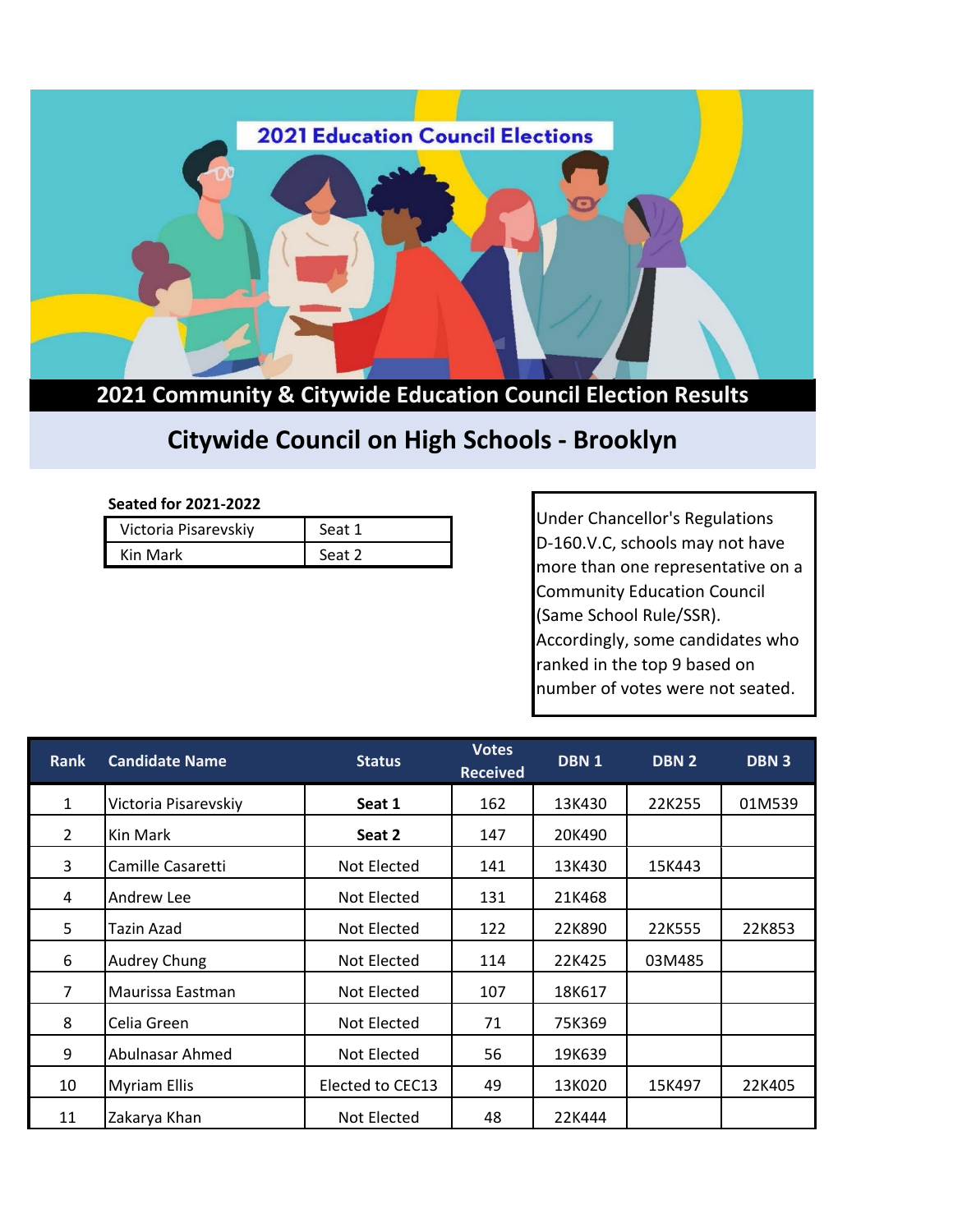

## **2021 Community & Citywide Education Council Election Results**

## **Citywide Council on High Schools - Brooklyn**

## **Seated for 2021-2022**

| Victoria Pisarevskiy | Seat 1 |  |  |
|----------------------|--------|--|--|
| Kin Mark             | Seat 2 |  |  |

Under Chancellor's Regulations D-160.V.C, schools may not have more than one representative on a Community Education Council (Same School Rule/SSR). Accordingly, some candidates who ranked in the top 9 based on number of votes were not seated.

| <b>Rank</b>    | <b>Candidate Name</b> | <b>Status</b>    | <b>Votes</b><br><b>Received</b> | DBN <sub>1</sub> | DBN <sub>2</sub> | <b>DBN3</b> |
|----------------|-----------------------|------------------|---------------------------------|------------------|------------------|-------------|
| $\mathbf{1}$   | Victoria Pisarevskiy  | Seat 1           | 162                             | 13K430           | 22K255           | 01M539      |
| $\overline{2}$ | Kin Mark              | Seat 2           | 147                             | 20K490           |                  |             |
| 3              | Camille Casaretti     | Not Elected      | 141                             | 13K430           | 15K443           |             |
| 4              | Andrew Lee            | Not Elected      | 131                             | 21K468           |                  |             |
| 5              | Tazin Azad            | Not Elected      | 122                             | 22K890           | 22K555           | 22K853      |
| 6              | Audrey Chung          | Not Elected      | 114                             | 22K425           | 03M485           |             |
| $\overline{7}$ | Maurissa Eastman      | Not Elected      | 107                             | 18K617           |                  |             |
| 8              | Celia Green           | Not Elected      | 71                              | 75K369           |                  |             |
| 9              | Abulnasar Ahmed       | Not Elected      | 56                              | 19K639           |                  |             |
| 10             | <b>Myriam Ellis</b>   | Elected to CEC13 | 49                              | 13K020           | 15K497           | 22K405      |
| 11             | Zakarya Khan          | Not Elected      | 48                              | 22K444           |                  |             |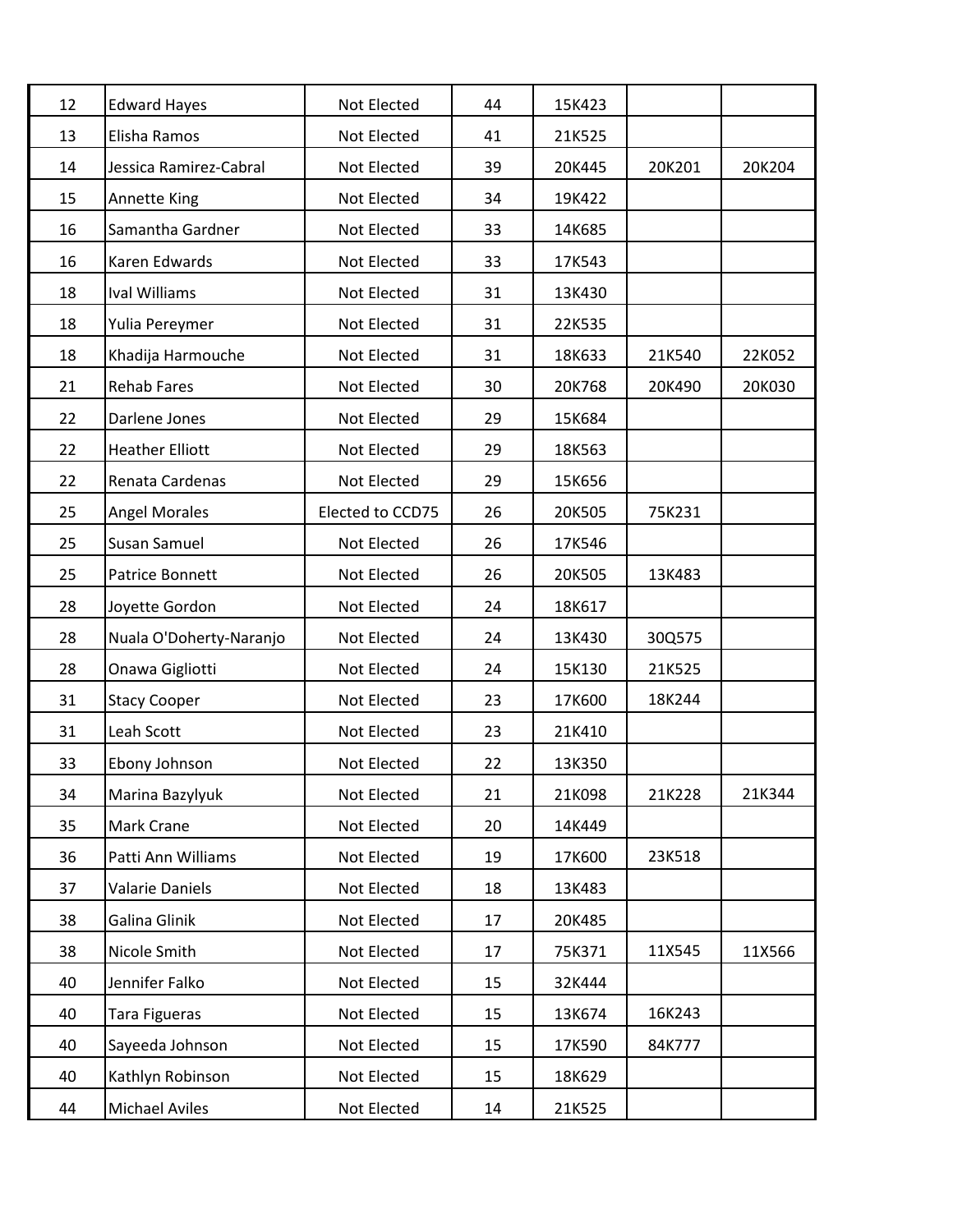| 12 | <b>Edward Hayes</b>     | Not Elected      | 44 | 15K423 |        |        |
|----|-------------------------|------------------|----|--------|--------|--------|
| 13 | Elisha Ramos            | Not Elected      | 41 | 21K525 |        |        |
| 14 | Jessica Ramirez-Cabral  | Not Elected      | 39 | 20K445 | 20K201 | 20K204 |
| 15 | Annette King            | Not Elected      | 34 | 19K422 |        |        |
| 16 | Samantha Gardner        | Not Elected      | 33 | 14K685 |        |        |
| 16 | Karen Edwards           | Not Elected      | 33 | 17K543 |        |        |
| 18 | <b>Ival Williams</b>    | Not Elected      | 31 | 13K430 |        |        |
| 18 | Yulia Pereymer          | Not Elected      | 31 | 22K535 |        |        |
| 18 | Khadija Harmouche       | Not Elected      | 31 | 18K633 | 21K540 | 22K052 |
| 21 | <b>Rehab Fares</b>      | Not Elected      | 30 | 20K768 | 20K490 | 20K030 |
| 22 | Darlene Jones           | Not Elected      | 29 | 15K684 |        |        |
| 22 | <b>Heather Elliott</b>  | Not Elected      | 29 | 18K563 |        |        |
| 22 | Renata Cardenas         | Not Elected      | 29 | 15K656 |        |        |
| 25 | <b>Angel Morales</b>    | Elected to CCD75 | 26 | 20K505 | 75K231 |        |
| 25 | Susan Samuel            | Not Elected      | 26 | 17K546 |        |        |
| 25 | Patrice Bonnett         | Not Elected      | 26 | 20K505 | 13K483 |        |
| 28 | Joyette Gordon          | Not Elected      | 24 | 18K617 |        |        |
| 28 | Nuala O'Doherty-Naranjo | Not Elected      | 24 | 13K430 | 30Q575 |        |
| 28 | Onawa Gigliotti         | Not Elected      | 24 | 15K130 | 21K525 |        |
| 31 | <b>Stacy Cooper</b>     | Not Elected      | 23 | 17K600 | 18K244 |        |
| 31 | Leah Scott              | Not Elected      | 23 | 21K410 |        |        |
| 33 | Ebony Johnson           | Not Elected      | 22 | 13K350 |        |        |
| 34 | Marina Bazylyuk         | Not Elected      | 21 | 21K098 | 21K228 | 21K344 |
| 35 | Mark Crane              | Not Elected      | 20 | 14K449 |        |        |
| 36 | Patti Ann Williams      | Not Elected      | 19 | 17K600 | 23K518 |        |
| 37 | Valarie Daniels         | Not Elected      | 18 | 13K483 |        |        |
| 38 | Galina Glinik           | Not Elected      | 17 | 20K485 |        |        |
| 38 | Nicole Smith            | Not Elected      | 17 | 75K371 | 11X545 | 11X566 |
| 40 | Jennifer Falko          | Not Elected      | 15 | 32K444 |        |        |
| 40 | Tara Figueras           | Not Elected      | 15 | 13K674 | 16K243 |        |
| 40 | Sayeeda Johnson         | Not Elected      | 15 | 17K590 | 84K777 |        |
| 40 | Kathlyn Robinson        | Not Elected      | 15 | 18K629 |        |        |
| 44 | Michael Aviles          | Not Elected      | 14 | 21K525 |        |        |